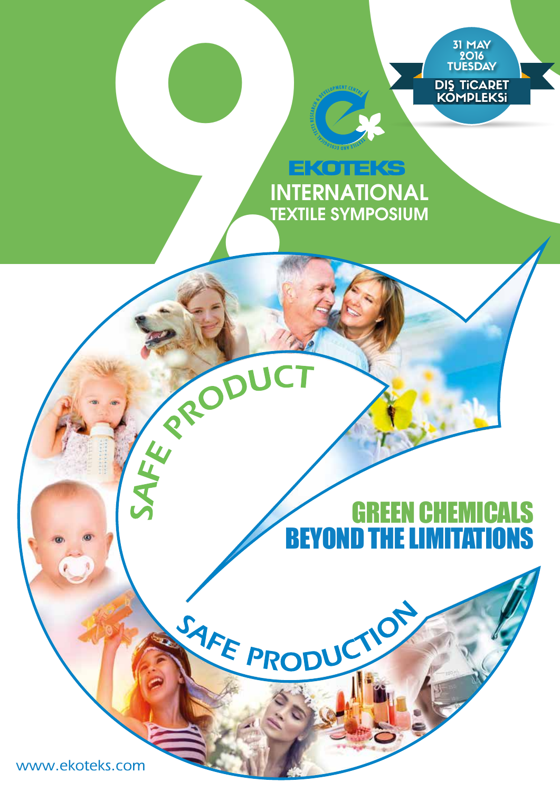

## **INTERNATIONAL TEXTILE SYMPOSIUM**

## **STAFE PRODUCTOR SPACE CONDUCTOR** GREEN CHEMICALS BEYOND THE LIMITATIONS

www.ekoteks.com